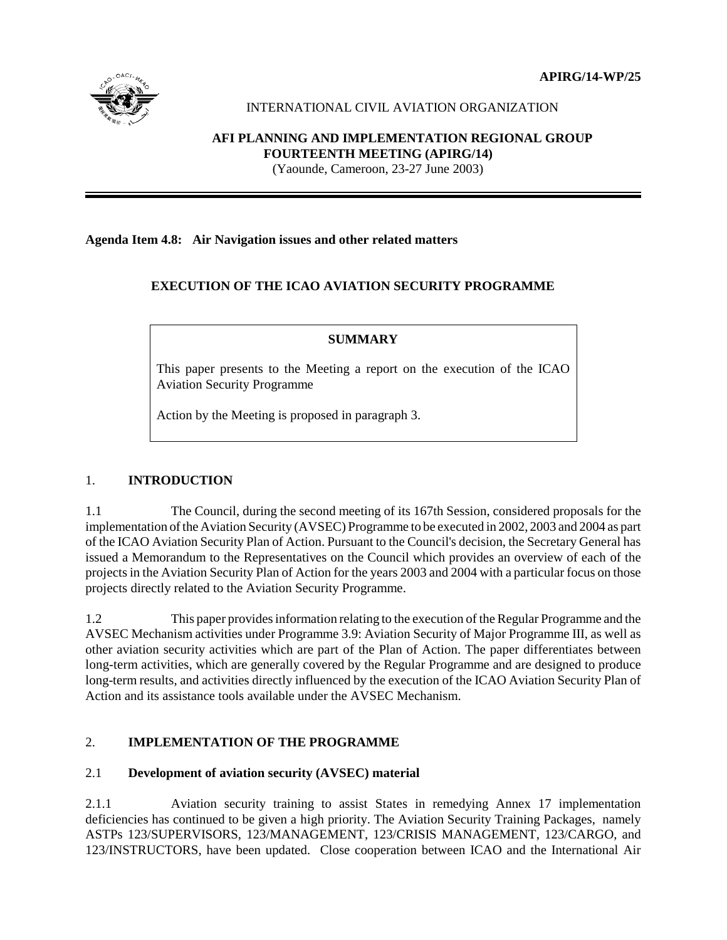**APIRG/14-WP/25**



# INTERNATIONAL CIVIL AVIATION ORGANIZATION

# **AFI PLANNING AND IMPLEMENTATION REGIONAL GROUP FOURTEENTH MEETING (APIRG/14)**

(Yaounde, Cameroon, 23-27 June 2003)

### **Agenda Item 4.8: Air Navigation issues and other related matters**

## **EXECUTION OF THE ICAO AVIATION SECURITY PROGRAMME**

# **SUMMARY**

This paper presents to the Meeting a report on the execution of the ICAO Aviation Security Programme

Action by the Meeting is proposed in paragraph 3.

## 1. **INTRODUCTION**

1.1 The Council, during the second meeting of its 167th Session, considered proposals for the implementation of the Aviation Security (AVSEC) Programme to be executed in 2002, 2003 and 2004 as part of the ICAO Aviation Security Plan of Action. Pursuant to the Council's decision, the Secretary General has issued a Memorandum to the Representatives on the Council which provides an overview of each of the projects in the Aviation Security Plan of Action for the years 2003 and 2004 with a particular focus on those projects directly related to the Aviation Security Programme.

1.2 This paper provides information relating to the execution of the Regular Programme and the AVSEC Mechanism activities under Programme 3.9: Aviation Security of Major Programme III, as well as other aviation security activities which are part of the Plan of Action. The paper differentiates between long-term activities, which are generally covered by the Regular Programme and are designed to produce long-term results, and activities directly influenced by the execution of the ICAO Aviation Security Plan of Action and its assistance tools available under the AVSEC Mechanism.

## 2. **IMPLEMENTATION OF THE PROGRAMME**

## 2.1 **Development of aviation security (AVSEC) material**

2.1.1 Aviation security training to assist States in remedying Annex 17 implementation deficiencies has continued to be given a high priority. The Aviation Security Training Packages, namely ASTPs 123/SUPERVISORS, 123/MANAGEMENT, 123/CRISIS MANAGEMENT, 123/CARGO, and 123/INSTRUCTORS, have been updated. Close cooperation between ICAO and the International Air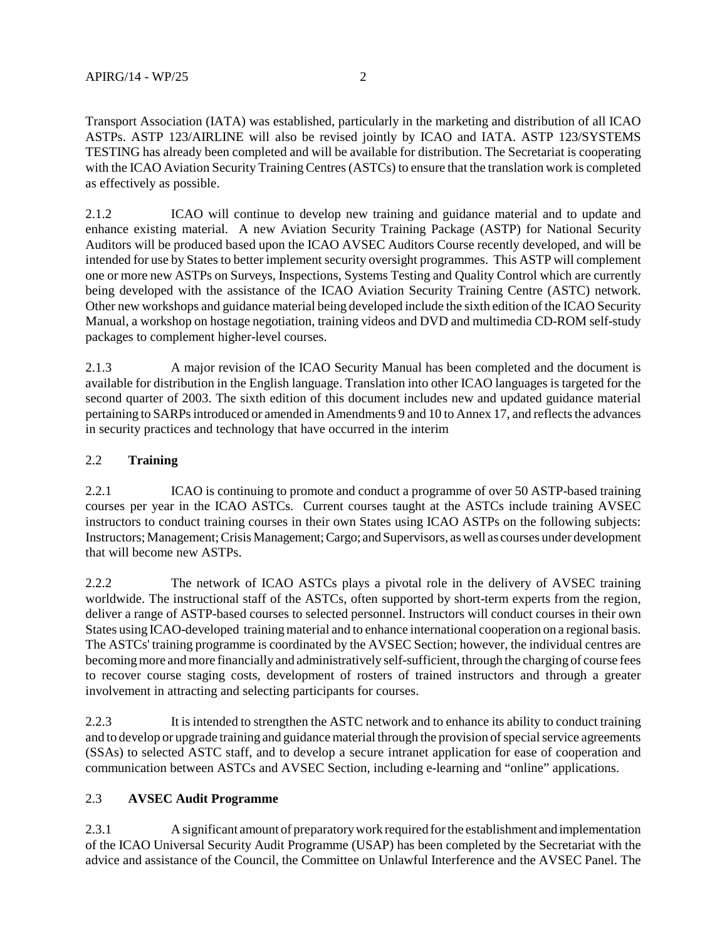Transport Association (IATA) was established, particularly in the marketing and distribution of all ICAO ASTPs. ASTP 123/AIRLINE will also be revised jointly by ICAO and IATA. ASTP 123/SYSTEMS TESTING has already been completed and will be available for distribution. The Secretariat is cooperating with the ICAO Aviation Security Training Centres (ASTCs) to ensure that the translation work is completed as effectively as possible.

2.1.2 ICAO will continue to develop new training and guidance material and to update and enhance existing material. A new Aviation Security Training Package (ASTP) for National Security Auditors will be produced based upon the ICAO AVSEC Auditors Course recently developed, and will be intended for use by States to better implement security oversight programmes. This ASTP will complement one or more new ASTPs on Surveys, Inspections, Systems Testing and Quality Control which are currently being developed with the assistance of the ICAO Aviation Security Training Centre (ASTC) network. Other new workshops and guidance material being developed include the sixth edition of the ICAO Security Manual, a workshop on hostage negotiation, training videos and DVD and multimedia CD-ROM self-study packages to complement higher-level courses.

2.1.3 A major revision of the ICAO Security Manual has been completed and the document is available for distribution in the English language. Translation into other ICAO languages is targeted for the second quarter of 2003. The sixth edition of this document includes new and updated guidance material pertaining to SARPs introduced or amended in Amendments 9 and 10 to Annex 17, and reflects the advances in security practices and technology that have occurred in the interim

### 2.2 **Training**

2.2.1 ICAO is continuing to promote and conduct a programme of over 50 ASTP-based training courses per year in the ICAO ASTCs. Current courses taught at the ASTCs include training AVSEC instructors to conduct training courses in their own States using ICAO ASTPs on the following subjects: Instructors; Management; Crisis Management; Cargo; and Supervisors, as well as courses under development that will become new ASTPs.

2.2.2 The network of ICAO ASTCs plays a pivotal role in the delivery of AVSEC training worldwide. The instructional staff of the ASTCs, often supported by short-term experts from the region, deliver a range of ASTP-based courses to selected personnel. Instructors will conduct courses in their own States using ICAO-developed training material and to enhance international cooperation on a regional basis. The ASTCs' training programme is coordinated by the AVSEC Section; however, the individual centres are becoming more and more financially and administratively self-sufficient, through the charging of course fees to recover course staging costs, development of rosters of trained instructors and through a greater involvement in attracting and selecting participants for courses.

2.2.3 It is intended to strengthen the ASTC network and to enhance its ability to conduct training and to develop or upgrade training and guidance material through the provision of special service agreements (SSAs) to selected ASTC staff, and to develop a secure intranet application for ease of cooperation and communication between ASTCs and AVSEC Section, including e-learning and "online" applications.

### 2.3 **AVSEC Audit Programme**

2.3.1 A significant amount of preparatory work required for the establishment and implementation of the ICAO Universal Security Audit Programme (USAP) has been completed by the Secretariat with the advice and assistance of the Council, the Committee on Unlawful Interference and the AVSEC Panel. The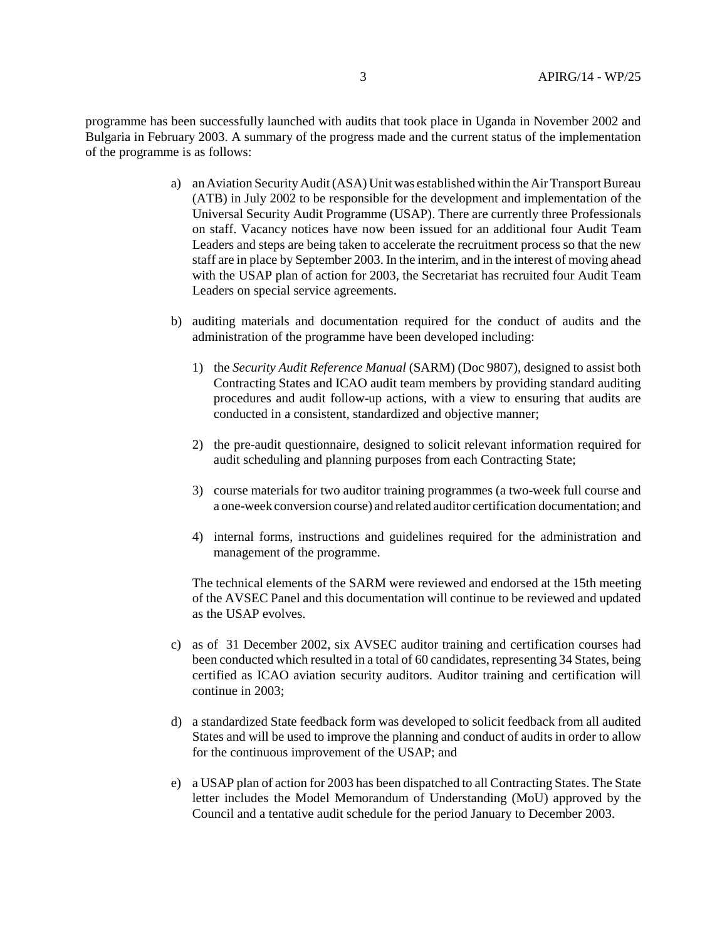programme has been successfully launched with audits that took place in Uganda in November 2002 and Bulgaria in February 2003. A summary of the progress made and the current status of the implementation of the programme is as follows:

- a) an Aviation Security Audit (ASA) Unit was established within the Air Transport Bureau (ATB) in July 2002 to be responsible for the development and implementation of the Universal Security Audit Programme (USAP). There are currently three Professionals on staff. Vacancy notices have now been issued for an additional four Audit Team Leaders and steps are being taken to accelerate the recruitment process so that the new staff are in place by September 2003. In the interim, and in the interest of moving ahead with the USAP plan of action for 2003, the Secretariat has recruited four Audit Team Leaders on special service agreements.
- b) auditing materials and documentation required for the conduct of audits and the administration of the programme have been developed including:
	- 1) the *Security Audit Reference Manual* (SARM) (Doc 9807), designed to assist both Contracting States and ICAO audit team members by providing standard auditing procedures and audit follow-up actions, with a view to ensuring that audits are conducted in a consistent, standardized and objective manner;
	- 2) the pre-audit questionnaire, designed to solicit relevant information required for audit scheduling and planning purposes from each Contracting State;
	- 3) course materials for two auditor training programmes (a two-week full course and a one-week conversion course) and related auditor certification documentation; and
	- 4) internal forms, instructions and guidelines required for the administration and management of the programme.

 The technical elements of the SARM were reviewed and endorsed at the 15th meeting of the AVSEC Panel and this documentation will continue to be reviewed and updated as the USAP evolves.

- c) as of 31 December 2002, six AVSEC auditor training and certification courses had been conducted which resulted in a total of 60 candidates, representing 34 States, being certified as ICAO aviation security auditors. Auditor training and certification will continue in 2003;
- d) a standardized State feedback form was developed to solicit feedback from all audited States and will be used to improve the planning and conduct of audits in order to allow for the continuous improvement of the USAP; and
- e) a USAP plan of action for 2003 has been dispatched to all Contracting States. The State letter includes the Model Memorandum of Understanding (MoU) approved by the Council and a tentative audit schedule for the period January to December 2003.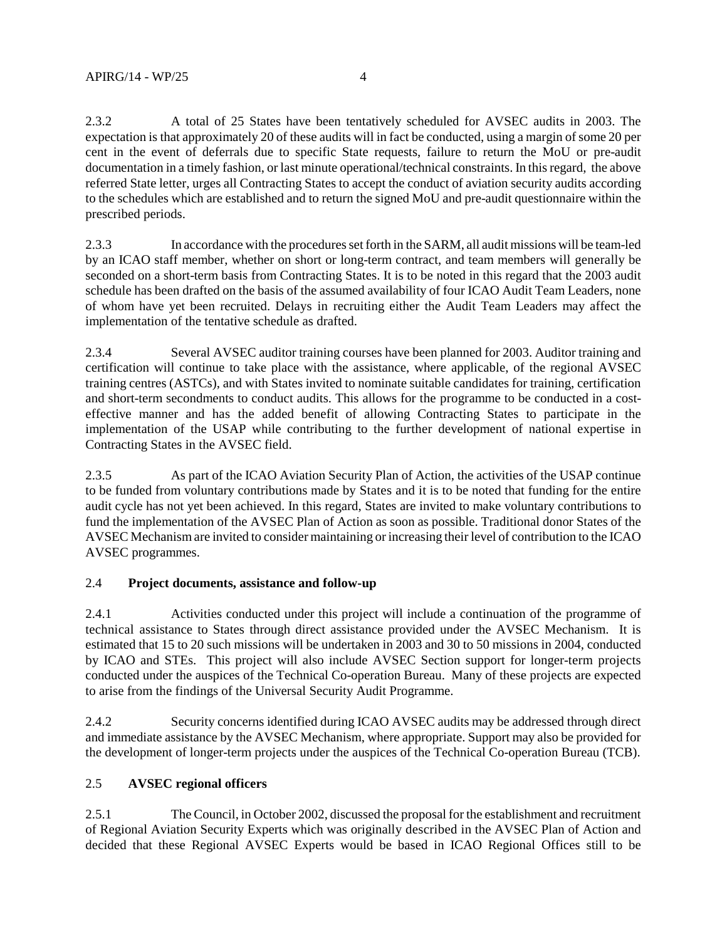2.3.2 A total of 25 States have been tentatively scheduled for AVSEC audits in 2003. The

expectation is that approximately 20 of these audits will in fact be conducted, using a margin of some 20 per cent in the event of deferrals due to specific State requests, failure to return the MoU or pre-audit documentation in a timely fashion, or last minute operational/technical constraints. In this regard, the above referred State letter, urges all Contracting States to accept the conduct of aviation security audits according to the schedules which are established and to return the signed MoU and pre-audit questionnaire within the prescribed periods.

2.3.3 In accordance with the procedures set forth in the SARM, all audit missions will be team-led by an ICAO staff member, whether on short or long-term contract, and team members will generally be seconded on a short-term basis from Contracting States. It is to be noted in this regard that the 2003 audit schedule has been drafted on the basis of the assumed availability of four ICAO Audit Team Leaders, none of whom have yet been recruited. Delays in recruiting either the Audit Team Leaders may affect the implementation of the tentative schedule as drafted.

2.3.4 Several AVSEC auditor training courses have been planned for 2003. Auditor training and certification will continue to take place with the assistance, where applicable, of the regional AVSEC training centres (ASTCs), and with States invited to nominate suitable candidates for training, certification and short-term secondments to conduct audits. This allows for the programme to be conducted in a costeffective manner and has the added benefit of allowing Contracting States to participate in the implementation of the USAP while contributing to the further development of national expertise in Contracting States in the AVSEC field.

2.3.5 As part of the ICAO Aviation Security Plan of Action, the activities of the USAP continue to be funded from voluntary contributions made by States and it is to be noted that funding for the entire audit cycle has not yet been achieved. In this regard, States are invited to make voluntary contributions to fund the implementation of the AVSEC Plan of Action as soon as possible. Traditional donor States of the AVSEC Mechanism are invited to consider maintaining or increasing their level of contribution to the ICAO AVSEC programmes.

# 2.4 **Project documents, assistance and follow-up**

2.4.1 Activities conducted under this project will include a continuation of the programme of technical assistance to States through direct assistance provided under the AVSEC Mechanism. It is estimated that 15 to 20 such missions will be undertaken in 2003 and 30 to 50 missions in 2004, conducted by ICAO and STEs. This project will also include AVSEC Section support for longer-term projects conducted under the auspices of the Technical Co-operation Bureau. Many of these projects are expected to arise from the findings of the Universal Security Audit Programme.

2.4.2 Security concerns identified during ICAO AVSEC audits may be addressed through direct and immediate assistance by the AVSEC Mechanism, where appropriate. Support may also be provided for the development of longer-term projects under the auspices of the Technical Co-operation Bureau (TCB).

# 2.5 **AVSEC regional officers**

2.5.1 The Council, in October 2002, discussed the proposal for the establishment and recruitment of Regional Aviation Security Experts which was originally described in the AVSEC Plan of Action and decided that these Regional AVSEC Experts would be based in ICAO Regional Offices still to be